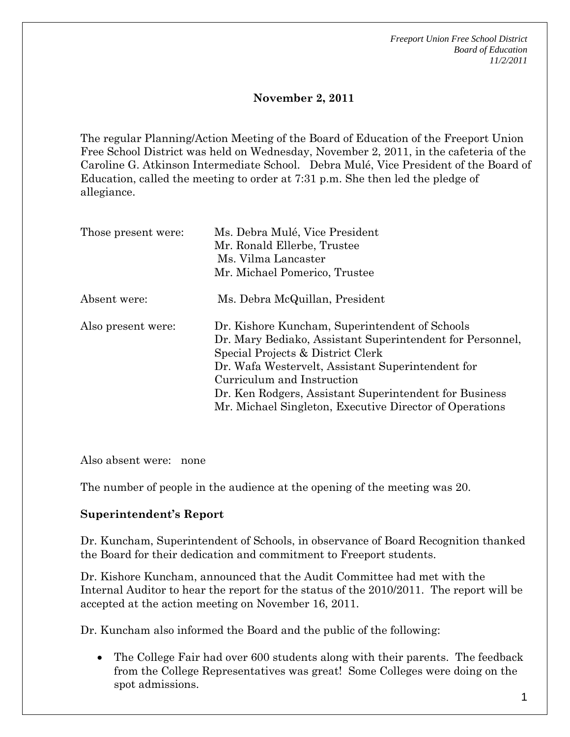*Freeport Union Free School District Board of Education 11/2/2011* 

## **November 2, 2011**

The regular Planning/Action Meeting of the Board of Education of the Freeport Union Free School District was held on Wednesday, November 2, 2011, in the cafeteria of the Caroline G. Atkinson Intermediate School. Debra Mulé, Vice President of the Board of Education, called the meeting to order at 7:31 p.m. She then led the pledge of allegiance.

| Those present were: | Ms. Debra Mulé, Vice President<br>Mr. Ronald Ellerbe, Trustee<br>Ms. Vilma Lancaster<br>Mr. Michael Pomerico, Trustee                                                                                                                                                                                                                                    |
|---------------------|----------------------------------------------------------------------------------------------------------------------------------------------------------------------------------------------------------------------------------------------------------------------------------------------------------------------------------------------------------|
| Absent were:        | Ms. Debra McQuillan, President                                                                                                                                                                                                                                                                                                                           |
| Also present were:  | Dr. Kishore Kuncham, Superintendent of Schools<br>Dr. Mary Bediako, Assistant Superintendent for Personnel,<br>Special Projects & District Clerk<br>Dr. Wafa Westervelt, Assistant Superintendent for<br>Curriculum and Instruction<br>Dr. Ken Rodgers, Assistant Superintendent for Business<br>Mr. Michael Singleton, Executive Director of Operations |

Also absent were: none

The number of people in the audience at the opening of the meeting was 20.

## **Superintendent's Report**

Dr. Kuncham, Superintendent of Schools, in observance of Board Recognition thanked the Board for their dedication and commitment to Freeport students.

Dr. Kishore Kuncham, announced that the Audit Committee had met with the Internal Auditor to hear the report for the status of the 2010/2011. The report will be accepted at the action meeting on November 16, 2011.

Dr. Kuncham also informed the Board and the public of the following:

 The College Fair had over 600 students along with their parents. The feedback from the College Representatives was great! Some Colleges were doing on the spot admissions.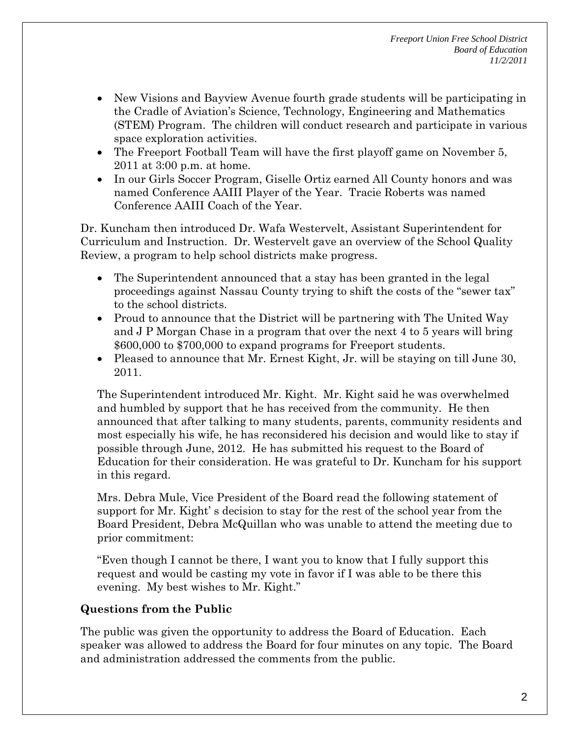- New Visions and Bayview Avenue fourth grade students will be participating in the Cradle of Aviation's Science, Technology, Engineering and Mathematics (STEM) Program. The children will conduct research and participate in various space exploration activities.
- The Freeport Football Team will have the first playoff game on November 5, 2011 at 3:00 p.m. at home.
- In our Girls Soccer Program, Giselle Ortiz earned All County honors and was named Conference AAIII Player of the Year. Tracie Roberts was named Conference AAIII Coach of the Year.

Dr. Kuncham then introduced Dr. Wafa Westervelt, Assistant Superintendent for Curriculum and Instruction. Dr. Westervelt gave an overview of the School Quality Review, a program to help school districts make progress.

- The Superintendent announced that a stay has been granted in the legal proceedings against Nassau County trying to shift the costs of the "sewer tax" to the school districts.
- Proud to announce that the District will be partnering with The United Way and J P Morgan Chase in a program that over the next 4 to 5 years will bring \$600,000 to \$700,000 to expand programs for Freeport students.
- Pleased to announce that Mr. Ernest Kight, Jr. will be staying on till June 30, 2011.

The Superintendent introduced Mr. Kight. Mr. Kight said he was overwhelmed and humbled by support that he has received from the community. He then announced that after talking to many students, parents, community residents and most especially his wife, he has reconsidered his decision and would like to stay if possible through June, 2012. He has submitted his request to the Board of Education for their consideration. He was grateful to Dr. Kuncham for his support in this regard.

Mrs. Debra Mule, Vice President of the Board read the following statement of support for Mr. Kight' s decision to stay for the rest of the school year from the Board President, Debra McQuillan who was unable to attend the meeting due to prior commitment:

"Even though I cannot be there, I want you to know that I fully support this request and would be casting my vote in favor if I was able to be there this evening. My best wishes to Mr. Kight."

# **Questions from the Public**

The public was given the opportunity to address the Board of Education. Each speaker was allowed to address the Board for four minutes on any topic. The Board and administration addressed the comments from the public.